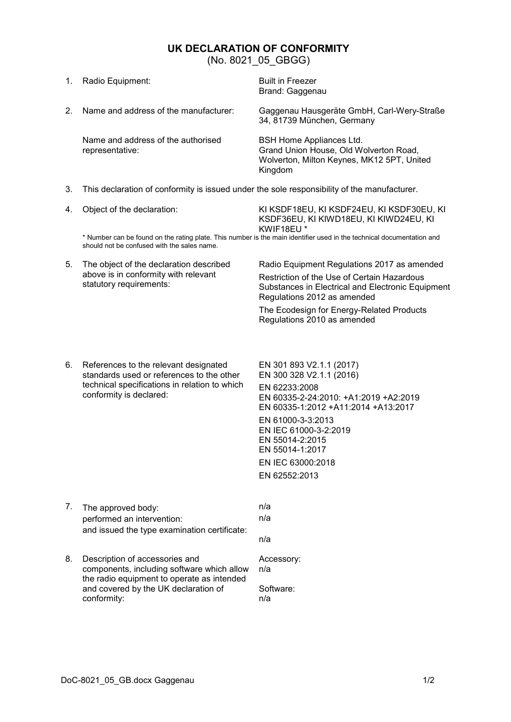## **UK DECLARATION OF CONFORMITY**

<span id="page-0-0"></span>(No. 8021, 05, GBGG)

|                                                                                                                                                                      | (110.0021, 00.000)                                                                                                                                             |                                                                                                                                                                                                                                                                                 |  |
|----------------------------------------------------------------------------------------------------------------------------------------------------------------------|----------------------------------------------------------------------------------------------------------------------------------------------------------------|---------------------------------------------------------------------------------------------------------------------------------------------------------------------------------------------------------------------------------------------------------------------------------|--|
| 1.                                                                                                                                                                   | Radio Equipment:                                                                                                                                               | <b>Built in Freezer</b><br>Brand: Gaggenau                                                                                                                                                                                                                                      |  |
| 2.                                                                                                                                                                   | Name and address of the manufacturer:                                                                                                                          | Gaggenau Hausgeräte GmbH, Carl-Wery-Straße<br>34, 81739 München, Germany                                                                                                                                                                                                        |  |
|                                                                                                                                                                      | Name and address of the authorised<br>representative:                                                                                                          | <b>BSH Home Appliances Ltd.</b><br>Grand Union House, Old Wolverton Road,<br>Wolverton, Milton Keynes, MK12 5PT, United<br>Kingdom                                                                                                                                              |  |
| 3.                                                                                                                                                                   | This declaration of conformity is issued under the sole responsibility of the manufacturer.                                                                    |                                                                                                                                                                                                                                                                                 |  |
| 4.                                                                                                                                                                   | Object of the declaration:                                                                                                                                     | KI KSDF18EU, KI KSDF24EU, KI KSDF30EU, KI<br>KSDF36EU, KI KIWD18EU, KI KIWD24EU, KI<br>KWIF18EU*                                                                                                                                                                                |  |
| * Number can be found on the rating plate. This number is the main identifier used in the technical documentation and<br>should not be confused with the sales name. |                                                                                                                                                                |                                                                                                                                                                                                                                                                                 |  |
| 5.                                                                                                                                                                   | The object of the declaration described<br>above is in conformity with relevant<br>statutory requirements:                                                     | Radio Equipment Regulations 2017 as amended<br>Restriction of the Use of Certain Hazardous<br>Substances in Electrical and Electronic Equipment<br>Regulations 2012 as amended<br>The Ecodesign for Energy-Related Products<br>Regulations 2010 as amended                      |  |
| 6.                                                                                                                                                                   | References to the relevant designated<br>standards used or references to the other<br>technical specifications in relation to which<br>conformity is declared: | EN 301 893 V2.1.1 (2017)<br>EN 300 328 V2.1.1 (2016)<br>EN 62233:2008<br>EN 60335-2-24:2010: +A1:2019 +A2:2019<br>EN 60335-1:2012 +A11:2014 +A13:2017<br>EN 61000-3-3:2013<br>EN IEC 61000-3-2:2019<br>EN 55014-2:2015<br>EN 55014-1:2017<br>EN IEC 63000:2018<br>EN 62552:2013 |  |
| 7.                                                                                                                                                                   | The approved body:<br>performed an intervention:<br>and issued the type examination certificate:                                                               | n/a<br>n/a<br>n/a                                                                                                                                                                                                                                                               |  |
| 8.                                                                                                                                                                   | Description of accessories and<br>components, including software which allow                                                                                   | Accessory:<br>n/a                                                                                                                                                                                                                                                               |  |

n/a

conformity:

the radio equipment to operate as intended

and covered by the UK declaration of Software: